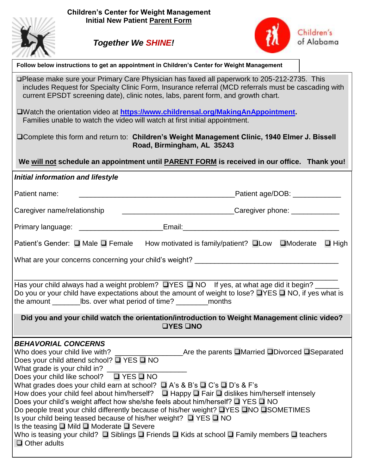



٦

| Follow below instructions to get an appointment in Children's Center for Weight Management                                                                                                                                                                                                                                                                                                                                                                                                                                                                                                                                                                                                                                                                                                                                                                                                                                                                           |  |  |  |  |  |  |  |
|----------------------------------------------------------------------------------------------------------------------------------------------------------------------------------------------------------------------------------------------------------------------------------------------------------------------------------------------------------------------------------------------------------------------------------------------------------------------------------------------------------------------------------------------------------------------------------------------------------------------------------------------------------------------------------------------------------------------------------------------------------------------------------------------------------------------------------------------------------------------------------------------------------------------------------------------------------------------|--|--|--|--|--|--|--|
| □Please make sure your Primary Care Physician has faxed all paperwork to 205-212-2735. This<br>includes Request for Specialty Clinic Form, Insurance referral (MCD referrals must be cascading with<br>current EPSDT screening date), clinic notes, labs, parent form, and growth chart.                                                                                                                                                                                                                                                                                                                                                                                                                                                                                                                                                                                                                                                                             |  |  |  |  |  |  |  |
| DWatch the orientation video at https://www.childrensal.org/MakingAnAppointment.<br>Families unable to watch the video will watch at first initial appointment.                                                                                                                                                                                                                                                                                                                                                                                                                                                                                                                                                                                                                                                                                                                                                                                                      |  |  |  |  |  |  |  |
| □ Complete this form and return to: Children's Weight Management Clinic, 1940 Elmer J. Bissell<br>Road, Birmingham, AL 35243                                                                                                                                                                                                                                                                                                                                                                                                                                                                                                                                                                                                                                                                                                                                                                                                                                         |  |  |  |  |  |  |  |
| We will not schedule an appointment until <b>PARENT FORM</b> is received in our office. Thank you!                                                                                                                                                                                                                                                                                                                                                                                                                                                                                                                                                                                                                                                                                                                                                                                                                                                                   |  |  |  |  |  |  |  |
| <b>Initial information and lifestyle</b>                                                                                                                                                                                                                                                                                                                                                                                                                                                                                                                                                                                                                                                                                                                                                                                                                                                                                                                             |  |  |  |  |  |  |  |
| Patient name:                                                                                                                                                                                                                                                                                                                                                                                                                                                                                                                                                                                                                                                                                                                                                                                                                                                                                                                                                        |  |  |  |  |  |  |  |
| Caregiver name/relationship                                                                                                                                                                                                                                                                                                                                                                                                                                                                                                                                                                                                                                                                                                                                                                                                                                                                                                                                          |  |  |  |  |  |  |  |
| Primary language: __________________________Email:______________________________                                                                                                                                                                                                                                                                                                                                                                                                                                                                                                                                                                                                                                                                                                                                                                                                                                                                                     |  |  |  |  |  |  |  |
| Patient's Gender: □ Male □ Female How motivated is family/patient? □ Low □ Moderate □ High                                                                                                                                                                                                                                                                                                                                                                                                                                                                                                                                                                                                                                                                                                                                                                                                                                                                           |  |  |  |  |  |  |  |
|                                                                                                                                                                                                                                                                                                                                                                                                                                                                                                                                                                                                                                                                                                                                                                                                                                                                                                                                                                      |  |  |  |  |  |  |  |
| Has your child always had a weight problem? $\Box$ YES $\Box$ NO If yes, at what age did it begin? _____<br>Do you or your child have expectations about the amount of weight to lose? $\Box$ YES $\Box$ NO, if yes what is                                                                                                                                                                                                                                                                                                                                                                                                                                                                                                                                                                                                                                                                                                                                          |  |  |  |  |  |  |  |
| Did you and your child watch the orientation/introduction to Weight Management clinic video?<br><b>OYES ONO</b>                                                                                                                                                                                                                                                                                                                                                                                                                                                                                                                                                                                                                                                                                                                                                                                                                                                      |  |  |  |  |  |  |  |
| <b>BEHAVORIAL CONCERNS</b><br>Are the parents □Married □Divorced □Separated<br>Who does your child live with?<br>Does your child attend school? $\Box$ YES $\Box$ NO<br>What grade is your child in?<br>Does your child like school?<br>$\Box$ YES $\Box$ NO<br>What grades does your child earn at school? $\Box$ A's & B's $\Box$ C's $\Box$ D's & F's<br>How does your child feel about him/herself? $\Box$ Happy $\Box$ Fair $\Box$ dislikes him/herself intensely<br>Does your child's weight affect how she/she feels about him/herself? □ YES □ NO<br>Do people treat your child differently because of his/her weight? ■YES ■NO ■SOMETIMES<br>Is your child being teased because of his/her weight? $\Box$ YES $\Box$ NO<br>Is the teasing $\square$ Mild $\square$ Moderate $\square$ Severe<br>Who is teasing your child? $\square$ Siblings $\square$ Friends $\square$ Kids at school $\square$ Family members $\square$ teachers<br>$\Box$ Other adults |  |  |  |  |  |  |  |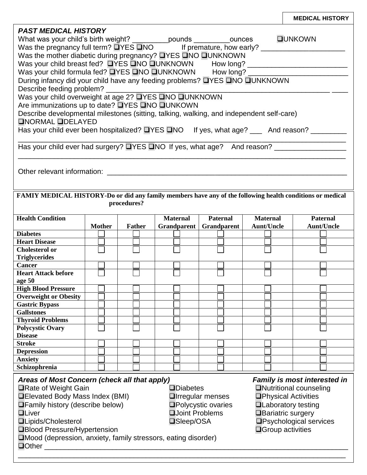|                                                                                                                     |               |               |                        |                            |                   | <b>MEDICAL HISTORY</b>              |  |  |
|---------------------------------------------------------------------------------------------------------------------|---------------|---------------|------------------------|----------------------------|-------------------|-------------------------------------|--|--|
| <b>PAST MEDICAL HISTORY</b>                                                                                         |               |               |                        |                            |                   |                                     |  |  |
|                                                                                                                     |               |               |                        |                            |                   |                                     |  |  |
|                                                                                                                     |               |               |                        |                            |                   |                                     |  |  |
| Was the mother diabetic during pregnancy? UYES UNO UUNKNOWN                                                         |               |               |                        |                            |                   |                                     |  |  |
| Was your child breast fed? DYES ONO OUNKNOWN How long? _________________________                                    |               |               |                        |                            |                   |                                     |  |  |
| Was your child formula fed? UYES UNO UUNKNOWN How long? ________________________                                    |               |               |                        |                            |                   |                                     |  |  |
| During infancy did your child have any feeding problems? UYES UNO UUNKNOWN                                          |               |               |                        |                            |                   |                                     |  |  |
| Describe feeding problem?                                                                                           |               |               |                        |                            |                   |                                     |  |  |
| Was your child overweight at age 2? UYES UNO UUNKNOWN                                                               |               |               |                        |                            |                   |                                     |  |  |
| Are immunizations up to date? UYES UNO UUNKOWN                                                                      |               |               |                        |                            |                   |                                     |  |  |
|                                                                                                                     |               |               |                        |                            |                   |                                     |  |  |
| Describe developmental milestones (sitting, talking, walking, and independent self-care)<br><b>ONORMAL ODELAYED</b> |               |               |                        |                            |                   |                                     |  |  |
|                                                                                                                     |               |               |                        |                            |                   |                                     |  |  |
| Has your child ever been hospitalized? UYES UNO If yes, what age? ___ And reason? ________                          |               |               |                        |                            |                   |                                     |  |  |
|                                                                                                                     |               |               |                        |                            |                   |                                     |  |  |
| Has your child ever had surgery? UYES UNO If yes, what age? And reason? ___________________________                 |               |               |                        |                            |                   |                                     |  |  |
|                                                                                                                     |               |               |                        |                            |                   |                                     |  |  |
|                                                                                                                     |               |               |                        |                            |                   |                                     |  |  |
|                                                                                                                     |               |               |                        |                            |                   |                                     |  |  |
|                                                                                                                     |               |               |                        |                            |                   |                                     |  |  |
| FAMIY MEDICAL HISTORY-Do or did any family members have any of the following health conditions or medical           |               |               |                        |                            |                   |                                     |  |  |
|                                                                                                                     |               | procedures?   |                        |                            |                   |                                     |  |  |
|                                                                                                                     |               |               |                        |                            |                   |                                     |  |  |
| <b>Health Condition</b>                                                                                             |               |               | <b>Maternal</b>        | <b>Paternal</b>            | <b>Maternal</b>   | <b>Paternal</b>                     |  |  |
|                                                                                                                     | <b>Mother</b> | <b>Father</b> | Grandparent            | Grandparent                | <b>Aunt/Uncle</b> | <b>Aunt/Uncle</b>                   |  |  |
|                                                                                                                     |               |               |                        |                            |                   |                                     |  |  |
| <b>Diabetes</b>                                                                                                     |               |               |                        |                            |                   |                                     |  |  |
| <b>Heart Disease</b>                                                                                                |               |               |                        |                            |                   |                                     |  |  |
| <b>Cholesterol or</b>                                                                                               |               |               |                        |                            |                   |                                     |  |  |
| <b>Triglycerides</b>                                                                                                |               |               |                        |                            |                   |                                     |  |  |
| <b>Cancer</b>                                                                                                       |               |               |                        |                            |                   |                                     |  |  |
| <b>Heart Attack before</b>                                                                                          |               |               |                        |                            |                   |                                     |  |  |
| age 50                                                                                                              |               |               |                        |                            |                   |                                     |  |  |
| <b>High Blood Pressure</b>                                                                                          |               |               |                        |                            |                   |                                     |  |  |
| <b>Overweight or Obesity</b>                                                                                        |               |               |                        |                            |                   |                                     |  |  |
| <b>Gastric Bypass</b>                                                                                               |               |               |                        |                            |                   |                                     |  |  |
| <b>Gallstones</b>                                                                                                   |               |               |                        |                            |                   |                                     |  |  |
| <b>Thyroid Problems</b>                                                                                             |               |               |                        |                            |                   |                                     |  |  |
| <b>Polycystic Ovary</b>                                                                                             |               |               |                        |                            |                   |                                     |  |  |
| <b>Disease</b>                                                                                                      |               |               |                        |                            |                   |                                     |  |  |
| <b>Stroke</b>                                                                                                       |               |               |                        |                            |                   |                                     |  |  |
| <b>Depression</b>                                                                                                   |               |               |                        |                            |                   |                                     |  |  |
| <b>Anxiety</b>                                                                                                      |               |               |                        |                            |                   |                                     |  |  |
| Schizophrenia                                                                                                       |               |               |                        |                            |                   |                                     |  |  |
| Areas of Most Concern (check all that apply)                                                                        |               |               |                        |                            |                   | <b>Family is most interested in</b> |  |  |
| <b>□Rate of Weight Gain</b>                                                                                         |               |               | $\square$ Diabetes     |                            |                   | <b>ONutritional counseling</b>      |  |  |
| <b>QElevated Body Mass Index (BMI)</b>                                                                              |               |               |                        | <b>Olrregular menses</b>   |                   | <b>OPhysical Activities</b>         |  |  |
| $\Box$ Family history (describe below)                                                                              |               |               |                        | <b>□Polycystic ovaries</b> |                   | <b>QLaboratory testing</b>          |  |  |
| <b>QLiver</b>                                                                                                       |               |               | <b>QJoint Problems</b> |                            |                   | <b>□Bariatric surgery</b>           |  |  |
| <b>QLipids/Cholesterol</b>                                                                                          |               |               |                        |                            |                   |                                     |  |  |
|                                                                                                                     |               |               | <b>□Sleep/OSA</b>      |                            |                   | <b>OPsychological services</b>      |  |  |
| <b>□Blood Pressure/Hypertension</b>                                                                                 |               |               |                        |                            |                   | $\Box$ Group activities             |  |  |
| □Mood (depression, anxiety, family stressors, eating disorder)<br>$\Box$ Other                                      |               |               |                        |                            |                   |                                     |  |  |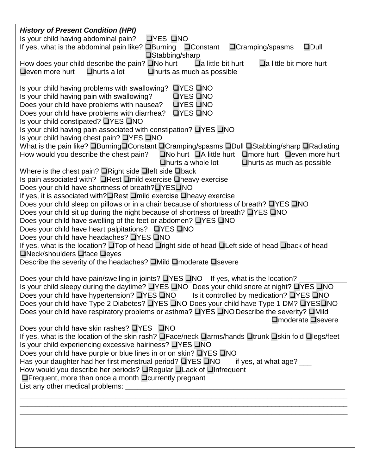| <b>History of Present Condition (HPI)</b>                                                                                                                                                                                                                                                                                                                                                                                                                                                                                                                                                                                                                                                                                                                                                                                                                                                                                                                                                                                                                                                                                                                                                                                                                                                                                                                                                                                                                                                                                                                                                                                |
|--------------------------------------------------------------------------------------------------------------------------------------------------------------------------------------------------------------------------------------------------------------------------------------------------------------------------------------------------------------------------------------------------------------------------------------------------------------------------------------------------------------------------------------------------------------------------------------------------------------------------------------------------------------------------------------------------------------------------------------------------------------------------------------------------------------------------------------------------------------------------------------------------------------------------------------------------------------------------------------------------------------------------------------------------------------------------------------------------------------------------------------------------------------------------------------------------------------------------------------------------------------------------------------------------------------------------------------------------------------------------------------------------------------------------------------------------------------------------------------------------------------------------------------------------------------------------------------------------------------------------|
| <b>OYES ONO</b><br>Is your child having abdominal pain?<br>$\n  Dull\n$                                                                                                                                                                                                                                                                                                                                                                                                                                                                                                                                                                                                                                                                                                                                                                                                                                                                                                                                                                                                                                                                                                                                                                                                                                                                                                                                                                                                                                                                                                                                                  |
| If yes, what is the abdominal pain like? $\Box$ Burning $\Box$ Constant<br>$\Box$ Cramping/spasms<br><b>□Stabbing/sharp</b>                                                                                                                                                                                                                                                                                                                                                                                                                                                                                                                                                                                                                                                                                                                                                                                                                                                                                                                                                                                                                                                                                                                                                                                                                                                                                                                                                                                                                                                                                              |
| How does your child describe the pain? $\square$ No hurt<br>$\Box a$ little bit hurt<br>$\Box$ a little bit more hurt                                                                                                                                                                                                                                                                                                                                                                                                                                                                                                                                                                                                                                                                                                                                                                                                                                                                                                                                                                                                                                                                                                                                                                                                                                                                                                                                                                                                                                                                                                    |
| $\Box$ even more hurt<br>$\Box$ hurts a lot<br>$\Box$ hurts as much as possible                                                                                                                                                                                                                                                                                                                                                                                                                                                                                                                                                                                                                                                                                                                                                                                                                                                                                                                                                                                                                                                                                                                                                                                                                                                                                                                                                                                                                                                                                                                                          |
| Is your child having problems with swallowing?<br>$I = I \cup I$<br>Is your child having pain with swallowing?<br><b>OYES ONO</b><br>Does your child have problems with nausea?<br>$IYES$ $INO$<br>Does your child have problems with diarrhea?<br>$I = VES$ $I = NQ$<br>Is your child constipated? ■YES ■NO<br>Is your child having pain associated with constipation? $\Box$ YES $\Box$ NO<br>Is your child having chest pain? $\Box$ YES $\Box$ NO<br>What is the pain like? □Burning□Constant □Cramping/spasms □Dull □Stabbing/sharp □Radiating<br>How would you describe the chest pain?<br>$\Box$ No hurt $\Box$ A little hurt $\Box$ more hurt $\Box$ even more hurt<br>$\Box$ hurts a whole lot<br>$\Box$ hurts as much as possible<br>Where is the chest pain? $\Box$ Right side $\Box$ left side $\Box$ back<br>Is pain associated with? $\Box$ Rest $\Box$ mild exercise $\Box$ heavy exercise<br>Does your child have shortness of breath? UYES UNO<br>If yes, it is associated with? Rest Dmild exercise Dheavy exercise<br>Does your child sleep on pillows or in a chair because of shortness of breath? □YES □NO<br>Does your child sit up during the night because of shortness of breath? ■YES ■NO<br>Does your child have swelling of the feet or abdomen? ■YES ■NO<br>Does your child have heart palpitations? ■YES ■NO<br>Does your child have headaches? <b>QYES QNO</b><br>If yes, what is the location? On Top of head Oright side of head OLeft side of head Oback of head<br>$\Box$ Neck/shoulders $\Box$ face $\Box$ eyes<br>Describe the severity of the headaches? □Mild □moderate □ severe |
| Does your child have pain/swelling in joints? $\Box$ YES $\Box$ NO If yes, what is the location?<br>Is your child sleepy during the daytime? UYES UNO Does your child snore at night? UYES UNO<br>Does your child have hypertension? <b>QYES QNO</b> Is it controlled by medication? QYES QNO<br>Does your child have Type 2 Diabetes? <b>QYES QNO Does your child have Type 1 DM? QYESQNO</b><br>Does your child have respiratory problems or asthma? ■YES ■NO Describe the severity? ■Mild<br>□moderate □severe<br>Does your child have skin rashes? ■YES ■NO<br>If yes, what is the location of the skin rash? OFace/neck Darms/hands Otrunk Oskin fold Olegs/feet<br>Is your child experiencing excessive hairiness? □YES □NO<br>Does your child have purple or blue lines in or on skin? □YES □NO<br>Has your daughter had her first menstrual period? UYES UNO<br>if yes, at what $age?$ ____                                                                                                                                                                                                                                                                                                                                                                                                                                                                                                                                                                                                                                                                                                                      |
| How would you describe her periods? <b>QRegular QLack of QInfrequent</b><br>$\Box$ Frequent, more than once a month $\Box$ currently pregnant                                                                                                                                                                                                                                                                                                                                                                                                                                                                                                                                                                                                                                                                                                                                                                                                                                                                                                                                                                                                                                                                                                                                                                                                                                                                                                                                                                                                                                                                            |
|                                                                                                                                                                                                                                                                                                                                                                                                                                                                                                                                                                                                                                                                                                                                                                                                                                                                                                                                                                                                                                                                                                                                                                                                                                                                                                                                                                                                                                                                                                                                                                                                                          |
|                                                                                                                                                                                                                                                                                                                                                                                                                                                                                                                                                                                                                                                                                                                                                                                                                                                                                                                                                                                                                                                                                                                                                                                                                                                                                                                                                                                                                                                                                                                                                                                                                          |
|                                                                                                                                                                                                                                                                                                                                                                                                                                                                                                                                                                                                                                                                                                                                                                                                                                                                                                                                                                                                                                                                                                                                                                                                                                                                                                                                                                                                                                                                                                                                                                                                                          |